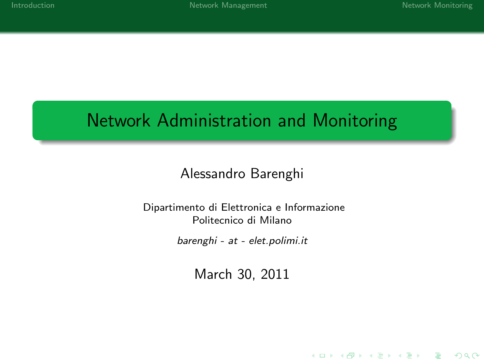K ロ ▶ K @ ▶ K 할 > K 할 > 1 할 > 1 이익어

# Network Administration and Monitoring

## Alessandro Barenghi

#### Dipartimento di Elettronica e Informazione Politecnico di Milano

barenghi - at - elet.polimi.it

March 30, 2011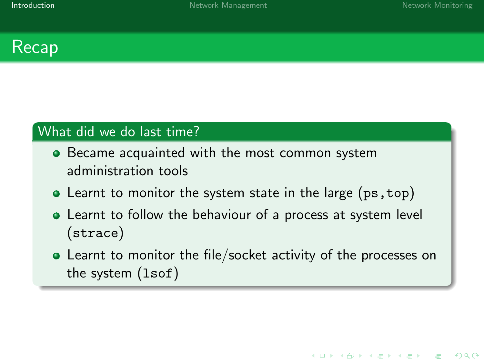K ロ ▶ K @ ▶ K 할 ▶ K 할 ▶ 이 할 → 9 Q @



## What did we do last time?

- **•** Became acquainted with the most common system administration tools
- Learnt to monitor the system state in the large (ps, top)
- Learnt to follow the behaviour of a process at system level (strace)
- <span id="page-1-0"></span>Learnt to monitor the file/socket activity of the processes on the system (lsof)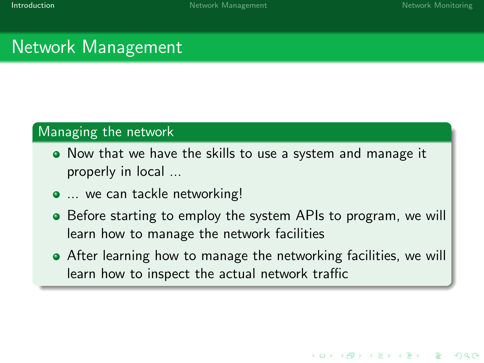**KORK STRAIN A BAR DE ROACH** 

# Network Management

#### Managing the network

- Now that we have the skills to use a system and manage it properly in local ...
- ... we can tackle networking!
- Before starting to employ the system APIs to program, we will learn how to manage the network facilities
- After learning how to manage the networking facilities, we will learn how to inspect the actual network traffic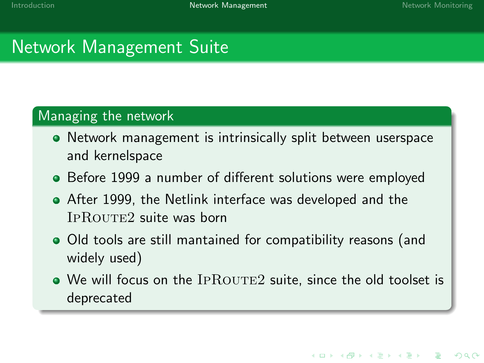**KORK EXTER IT ARE** 

# Network Management Suite

### Managing the network

- Network management is intrinsically split between userspace and kernelspace
- Before 1999 a number of different solutions were employed
- After 1999, the Netlink interface was developed and the IPROUTE2 suite was born
- Old tools are still mantained for compatibility reasons (and widely used)
- <span id="page-3-0"></span> $\bullet$  We will focus on the IPROUTE2 suite, since the old toolset is deprecated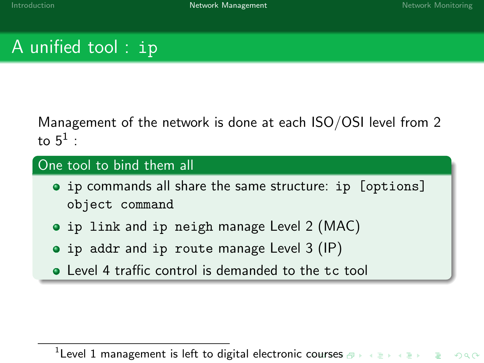# A unified tool : ip

Management of the network is done at each ISO/OSI level from 2 to  $5^1$  :

### One tool to bind them all

- ip commands all share the same structure: ip [options] object command
- ip link and ip neigh manage Level 2 (MAC)
- ip addr and ip route manage Level 3 (IP)
- **•** Level 4 traffic control is demanded to the tc tool

 $1$  Level 1 management is left to digital electronic [cou](#page-3-0)[rse](#page-5-0)[s](#page-3-0)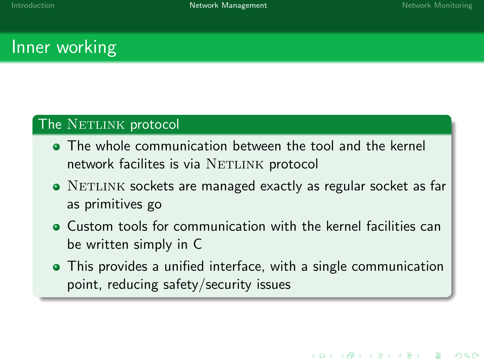**KORK STRAIN A BAR DE ROACH** 

## Inner working

#### The NETLINK protocol

- The whole communication between the tool and the kernel network facilites is via NETLINK protocol
- NETLINK sockets are managed exactly as regular socket as far as primitives go
- Custom tools for communication with the kernel facilities can be written simply in C
- <span id="page-5-0"></span>This provides a unified interface, with a single communication point, reducing safety/security issues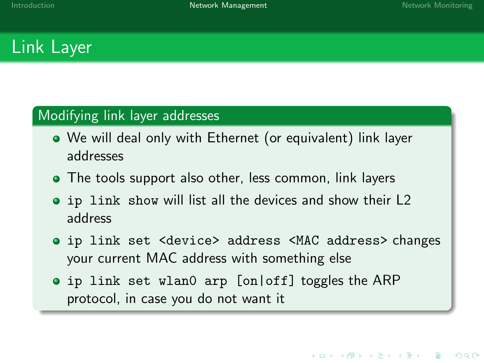**KORK EXTER IT ARE** 

# Link Layer

#### Modifying link layer addresses

- We will deal only with Ethernet (or equivalent) link layer addresses
- The tools support also other, less common, link layers
- ip link show will list all the devices and show their L2 address
- ip link set <device> address <MAC address> changes your current MAC address with something else
- ip link set wlan0 arp [on|off] toggles the ARP protocol, in case you do not want it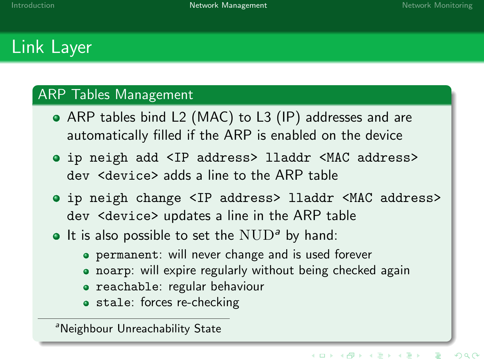# Link Layer

#### ARP Tables Management

- ARP tables bind L2 (MAC) to L3 (IP) addresses and are automatically filled if the ARP is enabled on the device
- ip neigh add <IP address> lladdr <MAC address> dev <device> adds a line to the ARP table
- ip neigh change <IP address> lladdr <MAC address> dev <device> updates a line in the ARP table
- $\bullet$  It is also possible to set the  $\text{NUD}^a$  by hand:
	- permanent: will never change and is used forever
	- noarp: will expire regularly without being checked again
	- reachable: regular behaviour
	- **stale:** forces re-checking

<sup>a</sup>Neighbour Unreachability State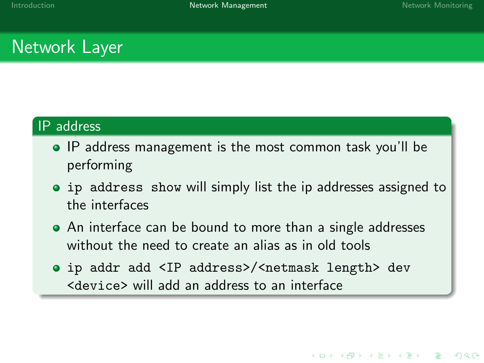**KORK STRAIN A BAR DE ROACH** 

## Network Layer

### IP address

- IP address management is the most common task you'll be performing
- ip address show will simply list the ip addresses assigned to the interfaces
- An interface can be bound to more than a single addresses without the need to create an alias as in old tools
- ip addr add <IP address>/<netmask length> dev <device> will add an address to an interface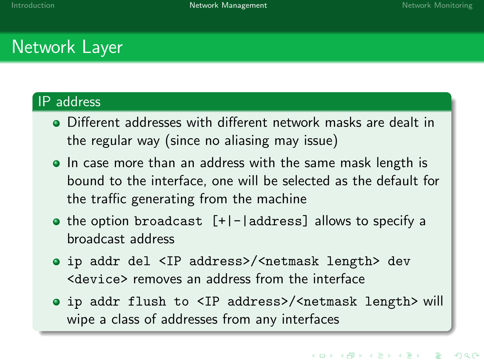# Network Layer

### IP address

- Different addresses with different network masks are dealt in the regular way (since no aliasing may issue)
- In case more than an address with the same mask length is bound to the interface, one will be selected as the default for the traffic generating from the machine
- $\bullet$  the option broadcast  $[+]$ - $|$ address] allows to specify a broadcast address
- ip addr del <IP address>/<netmask length> dev <device> removes an address from the interface
- ip addr flush to <IP address>/<netmask length> will wipe a class of addresses from any interfaces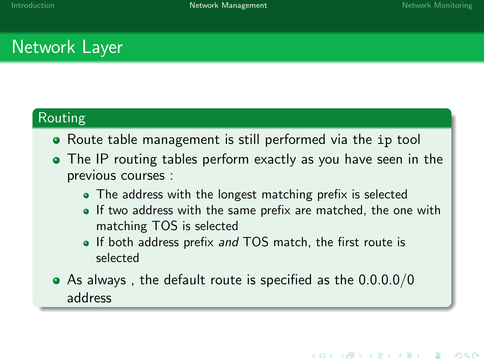# Network Layer

## Routing

- Route table management is still performed via the ip tool
- The IP routing tables perform exactly as you have seen in the previous courses :
	- The address with the longest matching prefix is selected
	- $\bullet$  If two address with the same prefix are matched, the one with matching TOS is selected
	- If both address prefix and TOS match, the first route is selected
- As always , the default route is specified as the 0.0.0.0/0 address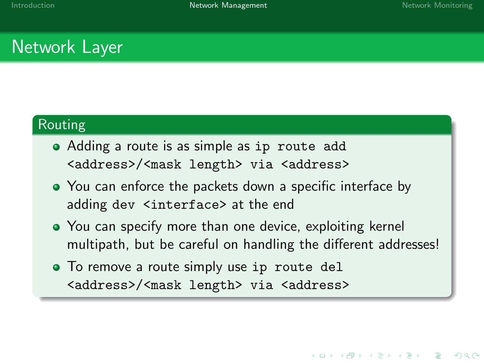# Network Layer

### Routing

- Adding a route is as simple as ip route add <address>/<mask length> via <address>
- You can enforce the packets down a specific interface by adding dev <interface> at the end
- You can specify more than one device, exploiting kernel multipath, but be careful on handling the different addresses!
- To remove a route simply use ip route del <address>/<mask length> via <address>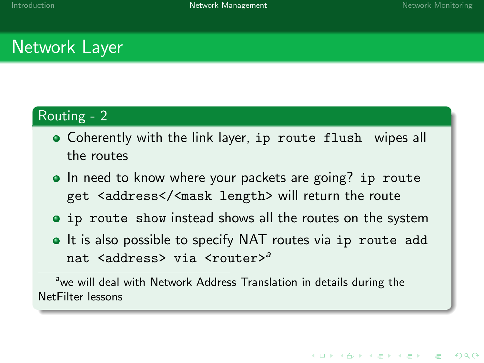# Network Layer

## Routing - 2

- Coherently with the link layer, ip route flush wipes all the routes
- In need to know where your packets are going? ip route get <address</<mask length> will return the route
- ip route show instead shows all the routes on the system
- It is also possible to specify NAT routes via ip route add nat <address> via <router><sup>a</sup>

<sup>a</sup>we will deal with Network Address Translation in details during the NetFilter lessons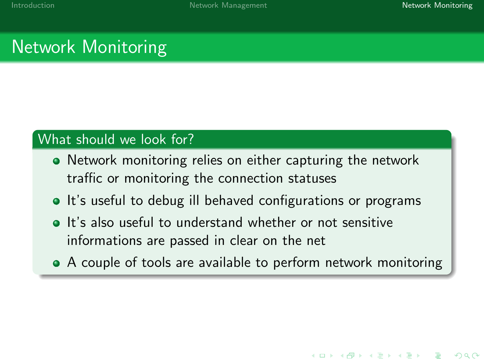# Network Monitoring

### What should we look for?

- Network monitoring relies on either capturing the network traffic or monitoring the connection statuses
- It's useful to debug ill behaved configurations or programs
- **It's also useful to understand whether or not sensitive** informations are passed in clear on the net
- <span id="page-13-0"></span>• A couple of tools are available to perform network monitoring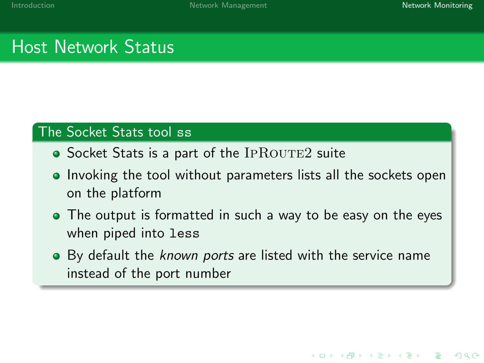# Host Network Status

## The Socket Stats tool ss

- $\bullet$  Socket Stats is a part of the IPROUTE2 suite
- Invoking the tool without parameters lists all the sockets open on the platform
- The output is formatted in such a way to be easy on the eyes when piped into less
- By default the known ports are listed with the service name instead of the port number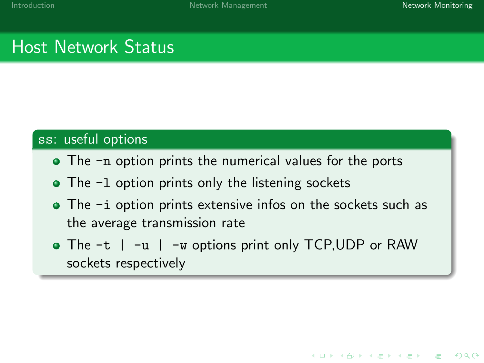# Host Network Status

#### ss: useful options

- The -n option prints the numerical values for the ports
- The -1 option prints only the listening sockets
- The -i option prints extensive infos on the sockets such as the average transmission rate
- The -t | -u | -w options print only TCP, UDP or RAW sockets respectively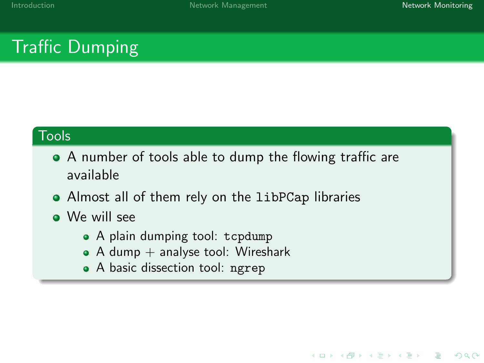# Traffic Dumping

### **Tools**

- A number of tools able to dump the flowing traffic are available
- Almost all of them rely on the libPCap libraries
- We will see
	- A plain dumping tool: tcpdump
	- $\bullet$  A dump  $+$  analyse tool: Wireshark
	- A basic dissection tool: ngrep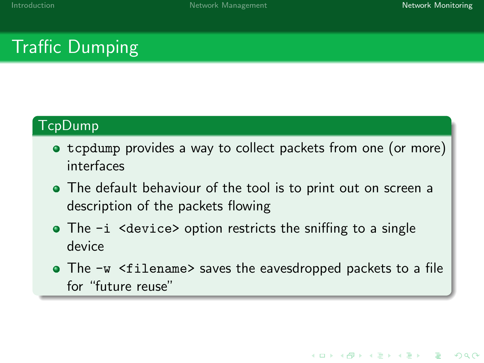# Traffic Dumping

## TcpDump

- tcpdump provides a way to collect packets from one (or more) interfaces
- The default behaviour of the tool is to print out on screen a description of the packets flowing
- $\bullet$  The  $-i$  <device> option restricts the sniffing to a single device
- The -w <filename> saves the eavesdropped packets to a file for "future reuse"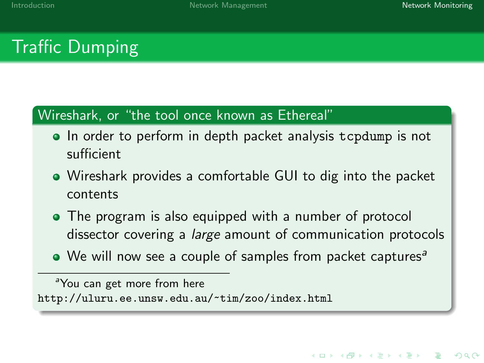# Traffic Dumping

### Wireshark, or "the tool once known as Ethereal"

- In order to perform in depth packet analysis tcpdump is not sufficient
- Wireshark provides a comfortable GUI to dig into the packet contents
- The program is also equipped with a number of protocol dissector covering a large amount of communication protocols
- $\bullet$  We will now see a couple of samples from packet captures<sup>a</sup>

<sup>a</sup>You can get more from here <http://uluru.ee.unsw.edu.au/~tim/zoo/index.html>